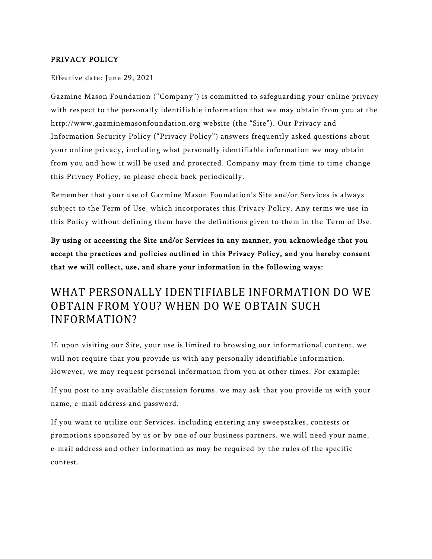### PRIVACY POLICY

#### Effective date: June 29, 2021

Gazmine Mason Foundation ("Company") is committed to safeguarding your online privacy with respect to the personally identifiable information that we may obtain from you at the http://www.gazminemasonfoundation.org website (the "Site"). Our Privacy and Information Security Policy ("Privacy Policy") answers frequently asked questions about your online privacy, including what personally identifiable information we may obtain from you and how it will be used and protected. Company may from time to time change this Privacy Policy, so please check back periodically.

Remember that your use of Gazmine Mason Foundation's Site and/or Services is always subject to the Term of Use, which incorporates this Privacy Policy. Any terms we use in this Policy without defining them have the definitions given to them in the Term of Use.

By using or accessing the Site and/or Services in any manner, you acknowledge that you accept the practices and policies outlined in this Privacy Policy, and you hereby consent that we will collect, use, and share your information in the following ways:

## WHAT PERSONALLY IDENTIFIABLE INFORMATION DO WE OBTAIN FROM YOU? WHEN DO WE OBTAIN SUCH INFORMATION?

If, upon visiting our Site, your use is limited to browsing our informational content, we will not require that you provide us with any personally identifiable information. However, we may request personal information from you at other times. For example:

If you post to any available discussion forums, we may ask that you provide us with your name, e-mail address and password.

If you want to utilize our Services, including entering any sweepstakes, contests or promotions sponsored by us or by one of our business partners, we will need your name, e-mail address and other information as may be required by the rules of the specific contest.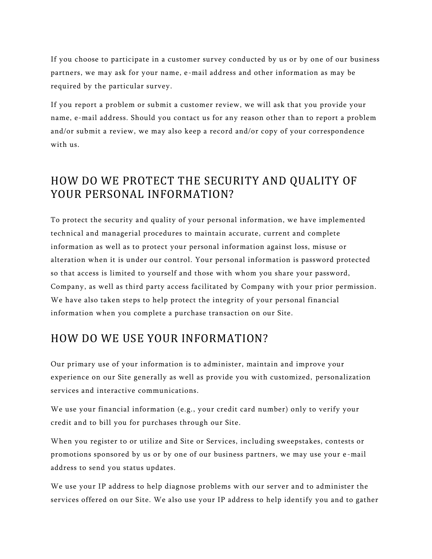If you choose to participate in a customer survey conducted by us or by one of our business partners, we may ask for your name, e-mail address and other information as may be required by the particular survey.

If you report a problem or submit a customer review, we will ask that you provide your name, e-mail address. Should you contact us for any reason other than to report a problem and/or submit a review, we may also keep a record and/or copy of your correspondence with us.

## HOW DO WE PROTECT THE SECURITY AND QUALITY OF YOUR PERSONAL INFORMATION?

To protect the security and quality of your personal information, we have implemented technical and managerial procedures to maintain accurate, current and complete information as well as to protect your personal information against loss, misuse or alteration when it is under our control. Your personal information is password protected so that access is limited to yourself and those with whom you share your password, Company, as well as third party access facilitated by Company with your prior permission. We have also taken steps to help protect the integrity of your personal financial information when you complete a purchase transaction on our Site.

## HOW DO WE USE YOUR INFORMATION?

Our primary use of your information is to administer, maintain and improve your experience on our Site generally as well as provide you with customized, personalization services and interactive communications.

We use your financial information (e.g., your credit card number) only to verify your credit and to bill you for purchases through our Site.

When you register to or utilize and Site or Services, including sweepstakes, contests or promotions sponsored by us or by one of our business partners, we may use your e -mail address to send you status updates.

We use your IP address to help diagnose problems with our server and to administer the services offered on our Site. We also use your IP address to help identify you and to gather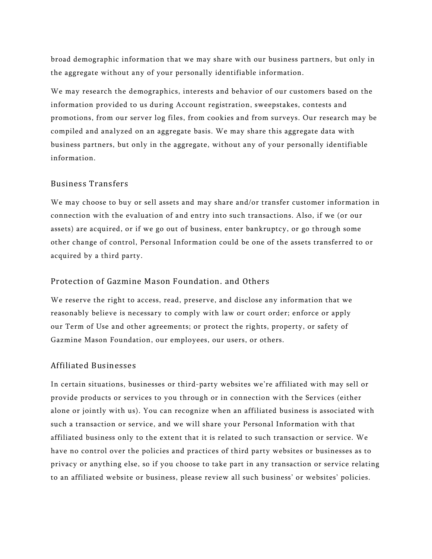broad demographic information that we may share with our business partners, but only in the aggregate without any of your personally identifiable information.

We may research the demographics, interests and behavior of our customers based on the information provided to us during Account registration, sweepstakes, contests and promotions, from our server log files, from cookies and from surveys. Our research may be compiled and analyzed on an aggregate basis. We may share this aggregate data with business partners, but only in the aggregate, without any of your personally identifiable information.

#### Business Transfers

We may choose to buy or sell assets and may share and/or transfer customer information in connection with the evaluation of and entry into such transactions. Also, if we (or our assets) are acquired, or if we go out of business, enter bankruptcy, or go through some other change of control, Personal Information could be one of the assets transferred to or acquired by a third party.

#### Protection of Gazmine Mason Foundation. and Others

We reserve the right to access, read, preserve, and disclose any information that we reasonably believe is necessary to comply with law or court order; enforce or apply our Term of Use and other agreements; or protect the rights, property, or safety of Gazmine Mason Foundation, our employees, our users, or others.

#### Affiliated Businesses

In certain situations, businesses or third-party websites we're affiliated with may sell or provide products or services to you through or in connection with the Services (either alone or jointly with us). You can recognize when an affiliated business is associated with such a transaction or service, and we will share your Personal Information with that affiliated business only to the extent that it is related to such transaction or service. We have no control over the policies and practices of third party websites or businesses as to privacy or anything else, so if you choose to take part in any transaction or service relating to an affiliated website or business, please review all such business' or websites' policies.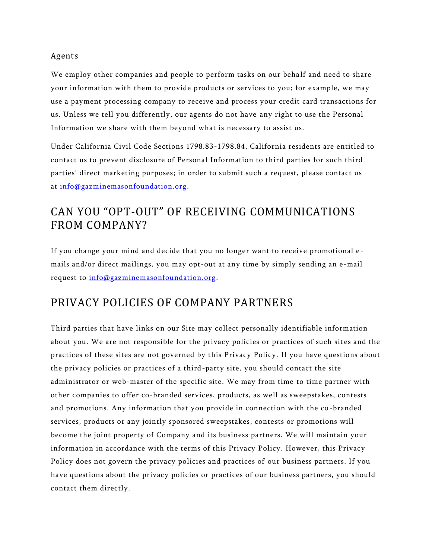### Agents

We employ other companies and people to perform tasks on our behalf and need to share your information with them to provide products or services to you; for example, we may use a payment processing company to receive and process your credit card transactions for us. Unless we tell you differently, our agents do not have any right to use the Personal Information we share with them beyond what is necessary to assist us.

Under California Civil Code Sections 1798.83-1798.84, California residents are entitled to contact us to prevent disclosure of Personal Information to thir d parties for such third parties' direct marketing purposes; in order to submit such a request, please contact us at [info@gazminemasonfoundation.org.](mailto:info@gazminemasonfoundation.org)

# CAN YOU "OPT-OUT" OF RECEIVING COMMUNICATIONS FROM COMPANY?

If you change your mind and decide that you no longer want to receive promotional e mails and/or direct mailings, you may opt-out at any time by simply sending an e-mail request to [info@gazminemasonfoundation.org.](mailto:info@gazminemasonfoundation.orgcom)

## PRIVACY POLICIES OF COMPANY PARTNERS

Third parties that have links on our Site may collect personally identifiable information about you. We are not responsible for the privacy policies or practices of such sites and the practices of these sites are not governed by this Privacy Policy. If you have questions about the privacy policies or practices of a third-party site, you should contact the site administrator or web-master of the specific site. We may from time to time partner with other companies to offer co-branded services, products, as well as sweepstakes, contests and promotions. Any information that you provide in connection with the co -branded services, products or any jointly sponsored sweepstakes, contests or promotions will become the joint property of Company and its business partners. We will maintain your information in accordance with the terms of this Privacy Policy. However, this Privacy Policy does not govern the privacy policies and practices of our business partners. If you have questions about the privacy policies or practices of our business partners, you should contact them directly.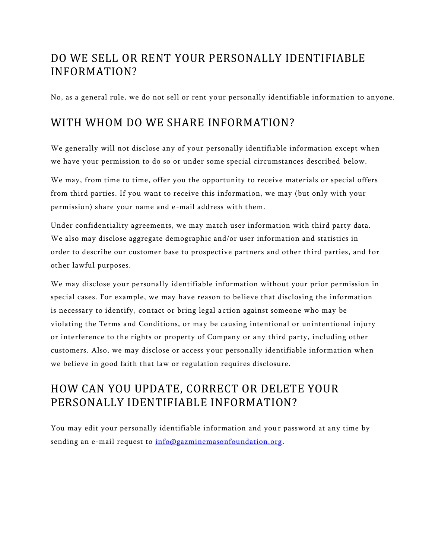# DO WE SELL OR RENT YOUR PERSONALLY IDENTIFIABLE INFORMATION?

No, as a general rule, we do not sell or rent your personally identifiable information to anyone.

## WITH WHOM DO WE SHARE INFORMATION?

We generally will not disclose any of your personally identifiable information except when we have your permission to do so or under some special circumstances described below.

We may, from time to time, offer you the opportunity to receive materials or special offers from third parties. If you want to receive this information, we may (but only with your permission) share your name and e-mail address with them.

Under confidentiality agreements, we may match user information with third party data. We also may disclose aggregate demographic and/or user information and statistics in order to describe our customer base to prospective partners and other third parties, and for other lawful purposes.

We may disclose your personally identifiable information without your prior permission in special cases. For example, we may have reason to believe that disclosing the information is necessary to identify, contact or bring legal a ction against someone who may be violating the Terms and Conditions, or may be causing intentional or unintentional injury or interference to the rights or property of Company or any third party, including other customers. Also, we may disclose or access your personally identifiable information when we believe in good faith that law or regulation requires disclosure.

# HOW CAN YOU UPDATE, CORRECT OR DELETE YOUR PERSONALLY IDENTIFIABLE INFORMATION?

You may edit your personally identifiable information and your password at any time by sending an e-mail request to [info@gazminemasonfoundation.org.](mailto:info@gazminemasonfoundation.org)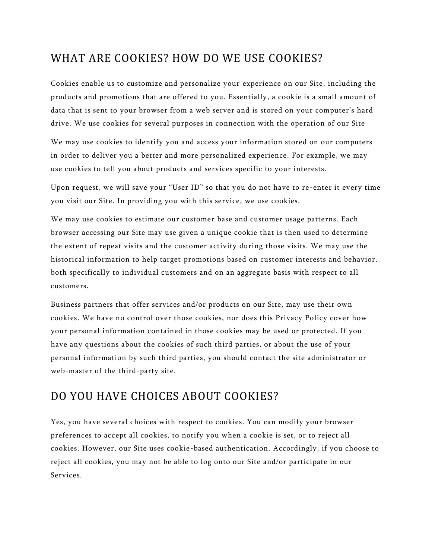## WHAT ARE COOKIES? HOW DO WE USE COOKIES?

Cookies enable us to customize and personalize your experience on our Site, including the products and promotions that are offered to you. Essentially, a cookie is a small amount of data that is sent to your browser from a web server and is stored on your computer's hard drive. We use cookies for several purposes in connection with the operation of our Site

We may use cookies to identify you and access your information stored on our computers in order to deliver you a better and more personalized experience. For example, we may use cookies to tell you about products and services specific to your interests.

Upon request, we will save your "User ID" so that you do not have to re -enter it every time you visit our Site. In providing you with this service, we use cookies.

We may use cookies to estimate our customer base and customer usage patterns. Each browser accessing our Site may use given a unique cookie that is then used to determine the extent of repeat visits and the customer activity during those visits. We may use the historical information to help target promotions based on customer interests and behavior, both specifically to individual customers and on an aggregate basis with respect to all customers.

Business partners that offer services and/or products on our Site, may use their own cookies. We have no control over those cookies, nor does this Privacy Policy cover how your personal information contained in those cookies may be used or protected. If you have any questions about the cookies of such third parties, or about the use of your personal information by such third parties, you should contact the site administrator or web-master of the third-party site.

## DO YOU HAVE CHOICES ABOUT COOKIES?

Yes, you have several choices with respect to cookies. You can modify your browser preferences to accept all cookies, to notify you when a cookie is set, or to reject all cookies. However, our Site uses cookie-based authentication. Accordingly, if you choose to reject all cookies, you may not be able to log onto our Site and/or participate in our Services.